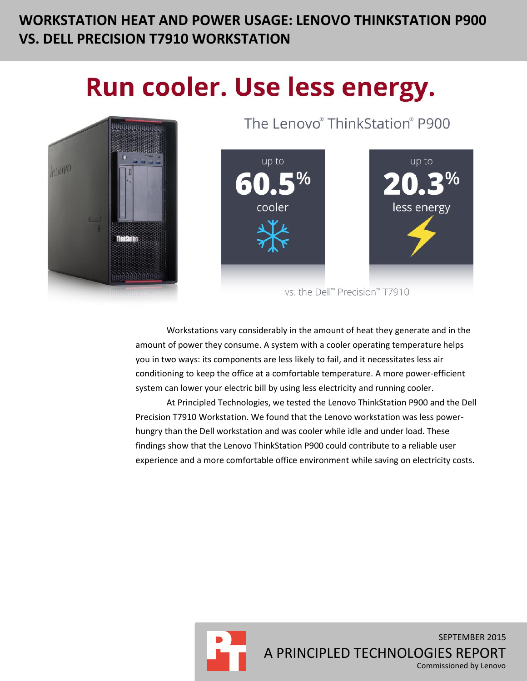# **WORKSTATION HEAT AND POWER USAGE: LENOVO THINKSTATION P900 VS. DELL PRECISION T7910 WORKSTATION**

# Run cooler. Use less energy.



The Lenovo® ThinkStation® P900



vs. the Dell™ Precision™ T7910

Workstations vary considerably in the amount of heat they generate and in the amount of power they consume. A system with a cooler operating temperature helps you in two ways: its components are less likely to fail, and it necessitates less air conditioning to keep the office at a comfortable temperature. A more power-efficient system can lower your electric bill by using less electricity and running cooler.

At Principled Technologies, we tested the Lenovo ThinkStation P900 and the Dell Precision T7910 Workstation. We found that the Lenovo workstation was less powerhungry than the Dell workstation and was cooler while idle and under load. These findings show that the Lenovo ThinkStation P900 could contribute to a reliable user experience and a more comfortable office environment while saving on electricity costs.

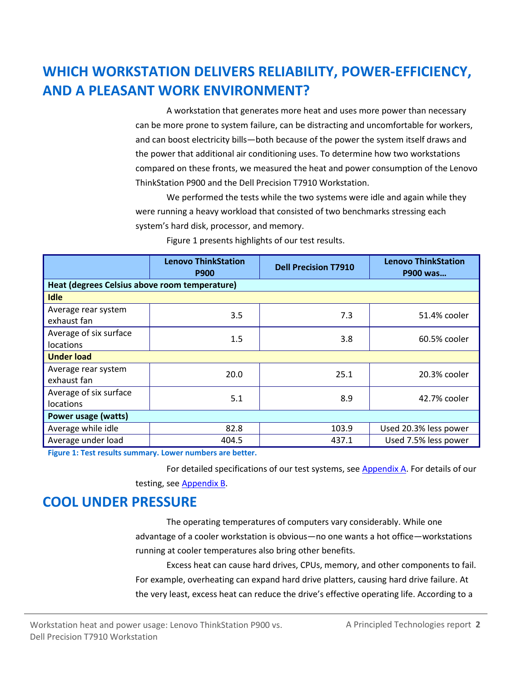# **WHICH WORKSTATION DELIVERS RELIABILITY, POWER-EFFICIENCY, AND A PLEASANT WORK ENVIRONMENT?**

A workstation that generates more heat and uses more power than necessary can be more prone to system failure, can be distracting and uncomfortable for workers, and can boost electricity bills—both because of the power the system itself draws and the power that additional air conditioning uses. To determine how two workstations compared on these fronts, we measured the heat and power consumption of the Lenovo ThinkStation P900 and the Dell Precision T7910 Workstation.

We performed the tests while the two systems were idle and again while they were running a heavy workload that consisted of two benchmarks stressing each system's hard disk, processor, and memory.

|                                               | <b>Lenovo ThinkStation</b><br><b>P900</b> | <b>Dell Precision T7910</b> | <b>Lenovo ThinkStation</b><br>P900 was |  |  |  |
|-----------------------------------------------|-------------------------------------------|-----------------------------|----------------------------------------|--|--|--|
| Heat (degrees Celsius above room temperature) |                                           |                             |                                        |  |  |  |
| <b>Idle</b>                                   |                                           |                             |                                        |  |  |  |
| Average rear system<br>exhaust fan            | 3.5                                       | 7.3                         | 51.4% cooler                           |  |  |  |
| Average of six surface<br>locations           | 1.5                                       | 3.8                         | 60.5% cooler                           |  |  |  |
| <b>Under load</b>                             |                                           |                             |                                        |  |  |  |
| Average rear system<br>exhaust fan            | 20.0                                      | 25.1                        | 20.3% cooler                           |  |  |  |
| Average of six surface<br>locations           | 5.1                                       | 8.9                         | 42.7% cooler                           |  |  |  |
| Power usage (watts)                           |                                           |                             |                                        |  |  |  |
| Average while idle                            | 82.8                                      | 103.9                       | Used 20.3% less power                  |  |  |  |
| Average under load                            | 404.5                                     | 437.1                       | Used 7.5% less power                   |  |  |  |

Figure 1 presents highlights of our test results.

**Figure 1: Test results summary. Lower numbers are better.**

For detailed specifications of our test systems, see [Appendix A.](#page-4-0) For details of our testing, see [Appendix B.](#page-7-0)

### **COOL UNDER PRESSURE**

The operating temperatures of computers vary considerably. While one advantage of a cooler workstation is obvious—no one wants a hot office—workstations running at cooler temperatures also bring other benefits.

Excess heat can cause hard drives, CPUs, memory, and other components to fail. For example, overheating can expand hard drive platters, causing hard drive failure. At the very least, excess heat can reduce the drive's effective operating life. According to a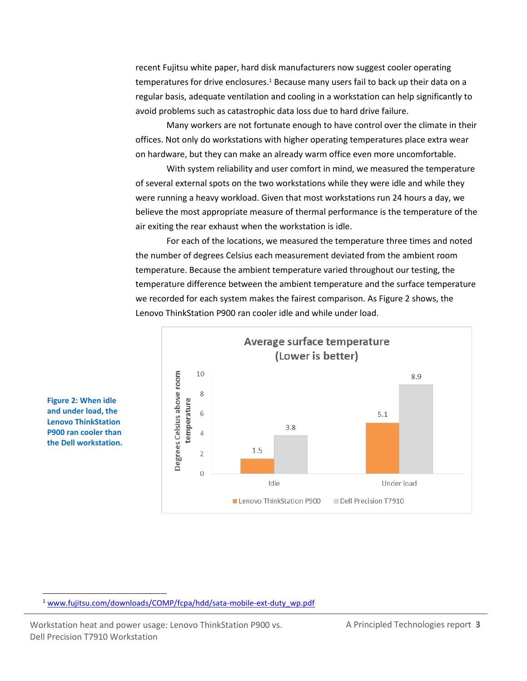recent Fujitsu white paper, hard disk manufacturers now suggest cooler operating temperatures for drive enclosures.<sup>1</sup> Because many users fail to back up their data on a regular basis, adequate ventilation and cooling in a workstation can help significantly to avoid problems such as catastrophic data loss due to hard drive failure.

Many workers are not fortunate enough to have control over the climate in their offices. Not only do workstations with higher operating temperatures place extra wear on hardware, but they can make an already warm office even more uncomfortable.

With system reliability and user comfort in mind, we measured the temperature of several external spots on the two workstations while they were idle and while they were running a heavy workload. Given that most workstations run 24 hours a day, we believe the most appropriate measure of thermal performance is the temperature of the air exiting the rear exhaust when the workstation is idle.

For each of the locations, we measured the temperature three times and noted the number of degrees Celsius each measurement deviated from the ambient room temperature. Because the ambient temperature varied throughout our testing, the temperature difference between the ambient temperature and the surface temperature we recorded for each system makes the fairest comparison. As Figure 2 shows, the Lenovo ThinkStation P900 ran cooler idle and while under load.



**Figure 2: When idle and under load, the Lenovo ThinkStation P900 ran cooler than the Dell workstation.**

 $\overline{a}$ 

Workstation heat and power usage: Lenovo ThinkStation P900 vs. A Principled Technologies report 3 Dell Precision T7910 Workstation

<sup>&</sup>lt;sup>1</sup> [www.fujitsu.com/downloads/COMP/fcpa/hdd/sata-mobile-ext-duty\\_wp.pdf](http://www.fujitsu.com/downloads/COMP/fcpa/hdd/sata-mobile-ext-duty_wp.pdf)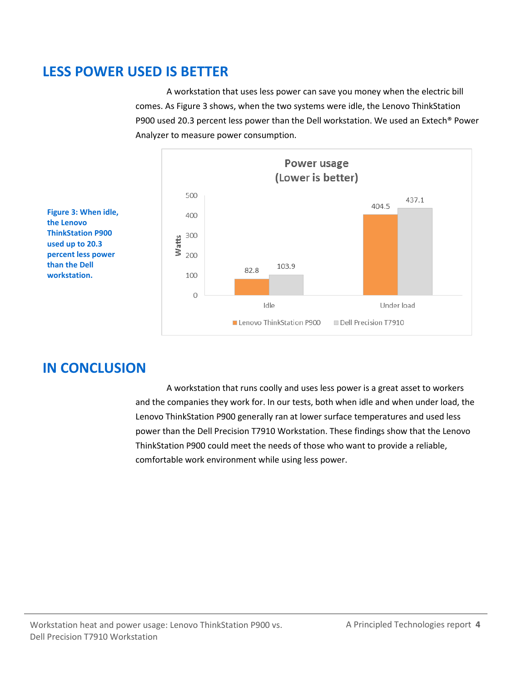# **LESS POWER USED IS BETTER**

A workstation that uses less power can save you money when the electric bill comes. As Figure 3 shows, when the two systems were idle, the Lenovo ThinkStation P900 used 20.3 percent less power than the Dell workstation. We used an Extech® Power Analyzer to measure power consumption.



**Figure 3: When idle, the Lenovo ThinkStation P900 used up to 20.3 percent less power than the Dell workstation.**

# **IN CONCLUSION**

A workstation that runs coolly and uses less power is a great asset to workers and the companies they work for. In our tests, both when idle and when under load, the Lenovo ThinkStation P900 generally ran at lower surface temperatures and used less power than the Dell Precision T7910 Workstation. These findings show that the Lenovo ThinkStation P900 could meet the needs of those who want to provide a reliable, comfortable work environment while using less power.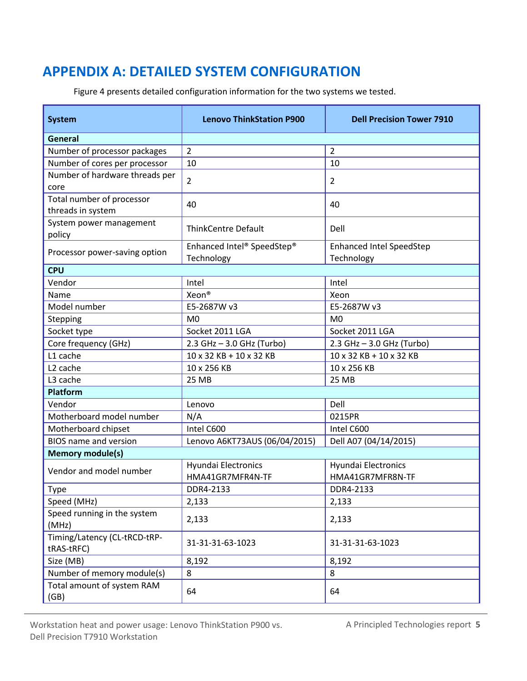# <span id="page-4-0"></span>**APPENDIX A: DETAILED SYSTEM CONFIGURATION**

Figure 4 presents detailed configuration information for the two systems we tested.

| <b>System</b>                                  | <b>Lenovo ThinkStation P900</b>          | <b>Dell Precision Tower 7910</b>               |  |  |  |
|------------------------------------------------|------------------------------------------|------------------------------------------------|--|--|--|
| General                                        |                                          |                                                |  |  |  |
| Number of processor packages                   | $\overline{2}$                           | $\overline{2}$                                 |  |  |  |
| Number of cores per processor                  | 10                                       | 10                                             |  |  |  |
| Number of hardware threads per<br>core         | $\overline{2}$                           | $\overline{2}$                                 |  |  |  |
| Total number of processor<br>threads in system | 40                                       | 40                                             |  |  |  |
| System power management<br>policy              | <b>ThinkCentre Default</b>               | Dell                                           |  |  |  |
| Processor power-saving option                  | Enhanced Intel® SpeedStep®<br>Technology | <b>Enhanced Intel SpeedStep</b><br>Technology  |  |  |  |
| <b>CPU</b>                                     |                                          |                                                |  |  |  |
| Vendor                                         | Intel                                    | Intel                                          |  |  |  |
| Name                                           | Xeon®                                    | Xeon                                           |  |  |  |
| Model number                                   | E5-2687W v3                              | E5-2687W v3                                    |  |  |  |
| Stepping                                       | M <sub>0</sub>                           | M <sub>0</sub>                                 |  |  |  |
| Socket type                                    | Socket 2011 LGA                          | Socket 2011 LGA                                |  |  |  |
| Core frequency (GHz)                           | 2.3 GHz - 3.0 GHz (Turbo)                | 2.3 GHz - 3.0 GHz (Turbo)                      |  |  |  |
| L1 cache                                       | 10 x 32 KB + 10 x 32 KB                  | 10 x 32 KB + 10 x 32 KB                        |  |  |  |
| L <sub>2</sub> cache                           | 10 x 256 KB                              | 10 x 256 KB                                    |  |  |  |
| L3 cache                                       | <b>25 MB</b>                             | 25 MB                                          |  |  |  |
| <b>Platform</b>                                |                                          |                                                |  |  |  |
| Vendor                                         | Lenovo                                   | Dell                                           |  |  |  |
| Motherboard model number                       | N/A                                      | 0215PR                                         |  |  |  |
| Motherboard chipset                            | Intel C600                               | Intel C600                                     |  |  |  |
| <b>BIOS</b> name and version                   | Lenovo A6KT73AUS (06/04/2015)            | Dell A07 (04/14/2015)                          |  |  |  |
| <b>Memory module(s)</b>                        |                                          |                                                |  |  |  |
| Vendor and model number                        | Hyundai Electronics<br>HMA41GR7MFR4N-TF  | <b>Hyundai Electronics</b><br>HMA41GR7MFR8N-TF |  |  |  |
| Type                                           | DDR4-2133                                | DDR4-2133                                      |  |  |  |
| Speed (MHz)                                    | 2,133                                    | 2,133                                          |  |  |  |
| Speed running in the system<br>(MHz)           | 2,133                                    | 2,133                                          |  |  |  |
| Timing/Latency (CL-tRCD-tRP-<br>tRAS-tRFC)     | 31-31-31-63-1023                         | 31-31-31-63-1023                               |  |  |  |
| Size (MB)                                      | 8,192                                    | 8,192                                          |  |  |  |
| Number of memory module(s)                     | 8                                        | 8                                              |  |  |  |
| Total amount of system RAM<br>(GB)             | 64                                       | 64                                             |  |  |  |

Workstation heat and power usage: Lenovo ThinkStation P900 vs. A Principled Technologies report 5 Dell Precision T7910 Workstation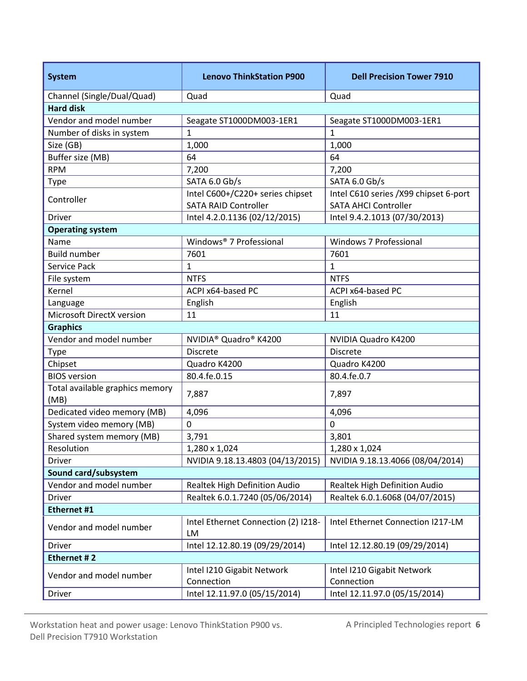| Channel (Single/Dual/Quad)<br>Quad<br>Quad                                                                      |  |  |  |  |  |
|-----------------------------------------------------------------------------------------------------------------|--|--|--|--|--|
|                                                                                                                 |  |  |  |  |  |
| <b>Hard disk</b>                                                                                                |  |  |  |  |  |
| Vendor and model number<br>Seagate ST1000DM003-1ER1<br>Seagate ST1000DM003-1ER1                                 |  |  |  |  |  |
| Number of disks in system<br>1<br>1                                                                             |  |  |  |  |  |
| 1,000<br>1,000<br>Size (GB)                                                                                     |  |  |  |  |  |
| Buffer size (MB)<br>64<br>64                                                                                    |  |  |  |  |  |
| <b>RPM</b><br>7,200<br>7,200                                                                                    |  |  |  |  |  |
| SATA 6.0 Gb/s<br>SATA 6.0 Gb/s<br><b>Type</b>                                                                   |  |  |  |  |  |
| Intel C600+/C220+ series chipset<br>Intel C610 series / X99 chipset 6-port<br>Controller                        |  |  |  |  |  |
| <b>SATA RAID Controller</b><br><b>SATA AHCI Controller</b>                                                      |  |  |  |  |  |
| Intel 4.2.0.1136 (02/12/2015)<br>Intel 9.4.2.1013 (07/30/2013)<br>Driver                                        |  |  |  |  |  |
| <b>Operating system</b>                                                                                         |  |  |  |  |  |
| Windows <sup>®</sup> 7 Professional<br>Windows 7 Professional<br>Name                                           |  |  |  |  |  |
| <b>Build number</b><br>7601<br>7601                                                                             |  |  |  |  |  |
| Service Pack<br>1<br>1                                                                                          |  |  |  |  |  |
| <b>NTFS</b><br><b>NTFS</b><br>File system                                                                       |  |  |  |  |  |
| Kernel<br>ACPI x64-based PC<br>ACPI x64-based PC                                                                |  |  |  |  |  |
| English<br>English<br>Language                                                                                  |  |  |  |  |  |
| Microsoft DirectX version<br>11<br>11                                                                           |  |  |  |  |  |
| <b>Graphics</b>                                                                                                 |  |  |  |  |  |
| Vendor and model number<br>NVIDIA <sup>®</sup> Quadro <sup>®</sup> K4200<br>NVIDIA Quadro K4200                 |  |  |  |  |  |
| <b>Discrete</b><br>Type<br><b>Discrete</b>                                                                      |  |  |  |  |  |
| Chipset<br>Quadro K4200<br>Quadro K4200                                                                         |  |  |  |  |  |
| <b>BIOS</b> version<br>80.4.fe.0.15<br>80.4.fe.0.7                                                              |  |  |  |  |  |
| Total available graphics memory<br>7,887<br>7,897<br>(MB)                                                       |  |  |  |  |  |
| Dedicated video memory (MB)<br>4,096<br>4,096                                                                   |  |  |  |  |  |
| $\overline{0}$<br>System video memory (MB)<br>0                                                                 |  |  |  |  |  |
| Shared system memory (MB)<br>3,791<br>3,801                                                                     |  |  |  |  |  |
| 1,280 x 1,024<br>1,280 x 1,024<br>Resolution                                                                    |  |  |  |  |  |
| NVIDIA 9.18.13.4803 (04/13/2015)<br>NVIDIA 9.18.13.4066 (08/04/2014)<br>Driver                                  |  |  |  |  |  |
| Sound card/subsystem                                                                                            |  |  |  |  |  |
| Vendor and model number<br>Realtek High Definition Audio<br>Realtek High Definition Audio                       |  |  |  |  |  |
| Driver<br>Realtek 6.0.1.7240 (05/06/2014)<br>Realtek 6.0.1.6068 (04/07/2015)                                    |  |  |  |  |  |
| Ethernet #1                                                                                                     |  |  |  |  |  |
| Intel Ethernet Connection (2) I218-<br>Intel Ethernet Connection I217-LM<br>Vendor and model number<br>LM       |  |  |  |  |  |
| Intel 12.12.80.19 (09/29/2014)<br>Intel 12.12.80.19 (09/29/2014)<br><b>Driver</b>                               |  |  |  |  |  |
| Ethernet #2                                                                                                     |  |  |  |  |  |
| Intel I210 Gigabit Network<br>Intel I210 Gigabit Network<br>Vendor and model number<br>Connection<br>Connection |  |  |  |  |  |
| Intel 12.11.97.0 (05/15/2014)<br>Intel 12.11.97.0 (05/15/2014)<br>Driver                                        |  |  |  |  |  |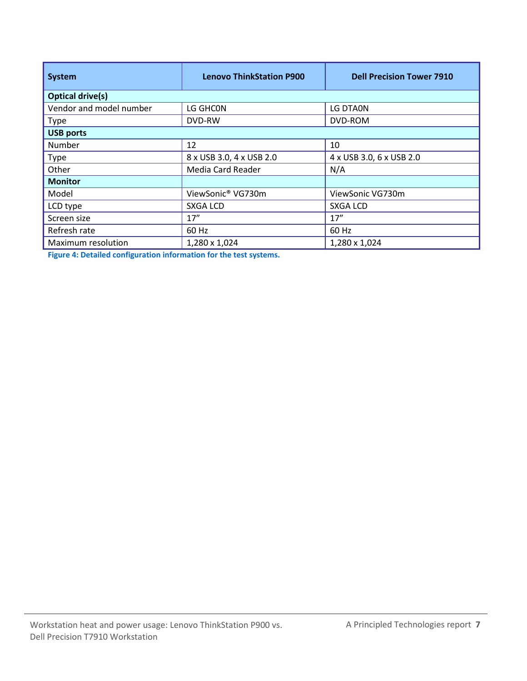| <b>System</b>           | <b>Lenovo ThinkStation P900</b> | <b>Dell Precision Tower 7910</b> |  |  |
|-------------------------|---------------------------------|----------------------------------|--|--|
| <b>Optical drive(s)</b> |                                 |                                  |  |  |
| Vendor and model number | LG GHCON                        | LG DTA0N                         |  |  |
| <b>Type</b>             | DVD-RW                          | DVD-ROM                          |  |  |
| <b>USB ports</b>        |                                 |                                  |  |  |
| Number                  | 12                              | 10                               |  |  |
| <b>Type</b>             | 8 x USB 3.0, 4 x USB 2.0        | 4 x USB 3.0, 6 x USB 2.0         |  |  |
| Other                   | Media Card Reader               | N/A                              |  |  |
| <b>Monitor</b>          |                                 |                                  |  |  |
| Model                   | ViewSonic® VG730m               | ViewSonic VG730m                 |  |  |
| LCD type                | <b>SXGA LCD</b>                 | SXGA LCD                         |  |  |
| Screen size             | 17''                            | 17''                             |  |  |
| Refresh rate            | 60 Hz                           | 60 Hz                            |  |  |
| Maximum resolution      | 1,280 x 1,024                   | 1,280 x 1,024                    |  |  |

**Figure 4: Detailed configuration information for the test systems.**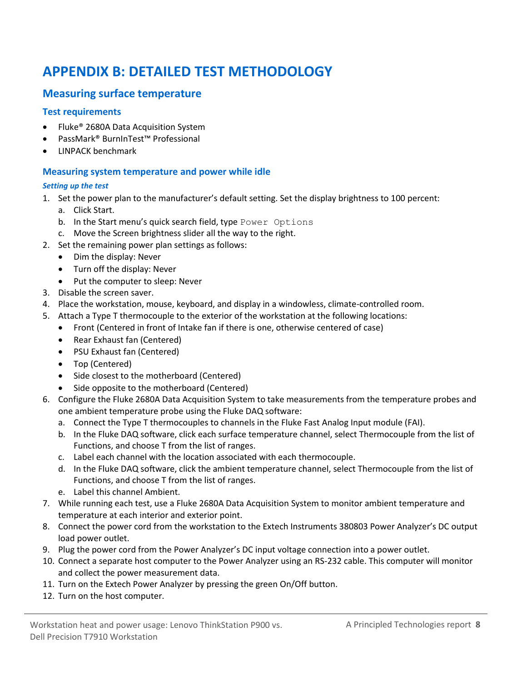# <span id="page-7-0"></span>**APPENDIX B: DETAILED TEST METHODOLOGY**

#### **Measuring surface temperature**

#### **Test requirements**

- Fluke® 2680A Data Acquisition System
- PassMark® BurnInTest™ Professional
- LINPACK benchmark

#### **Measuring system temperature and power while idle**

#### *Setting up the test*

- 1. Set the power plan to the manufacturer's default setting. Set the display brightness to 100 percent: a. Click Start.
	- b. In the Start menu's quick search field, type Power Options
	- c. Move the Screen brightness slider all the way to the right.
- 2. Set the remaining power plan settings as follows:
	- Dim the display: Never
	- Turn off the display: Never
	- Put the computer to sleep: Never
- 3. Disable the screen saver.
- 4. Place the workstation, mouse, keyboard, and display in a windowless, climate-controlled room.
- 5. Attach a Type T thermocouple to the exterior of the workstation at the following locations:
	- Front (Centered in front of Intake fan if there is one, otherwise centered of case)
	- Rear Exhaust fan (Centered)
	- PSU Exhaust fan (Centered)
	- Top (Centered)
	- Side closest to the motherboard (Centered)
	- Side opposite to the motherboard (Centered)
- 6. Configure the Fluke 2680A Data Acquisition System to take measurements from the temperature probes and one ambient temperature probe using the Fluke DAQ software:
	- a. Connect the Type T thermocouples to channels in the Fluke Fast Analog Input module (FAI).
	- b. In the Fluke DAQ software, click each surface temperature channel, select Thermocouple from the list of Functions, and choose T from the list of ranges.
	- c. Label each channel with the location associated with each thermocouple.
	- d. In the Fluke DAQ software, click the ambient temperature channel, select Thermocouple from the list of Functions, and choose T from the list of ranges.
	- e. Label this channel Ambient.
- 7. While running each test, use a Fluke 2680A Data Acquisition System to monitor ambient temperature and temperature at each interior and exterior point.
- 8. Connect the power cord from the workstation to the Extech Instruments 380803 Power Analyzer's DC output load power outlet.
- 9. Plug the power cord from the Power Analyzer's DC input voltage connection into a power outlet.
- 10. Connect a separate host computer to the Power Analyzer using an RS-232 cable. This computer will monitor and collect the power measurement data.
- 11. Turn on the Extech Power Analyzer by pressing the green On/Off button.
- 12. Turn on the host computer.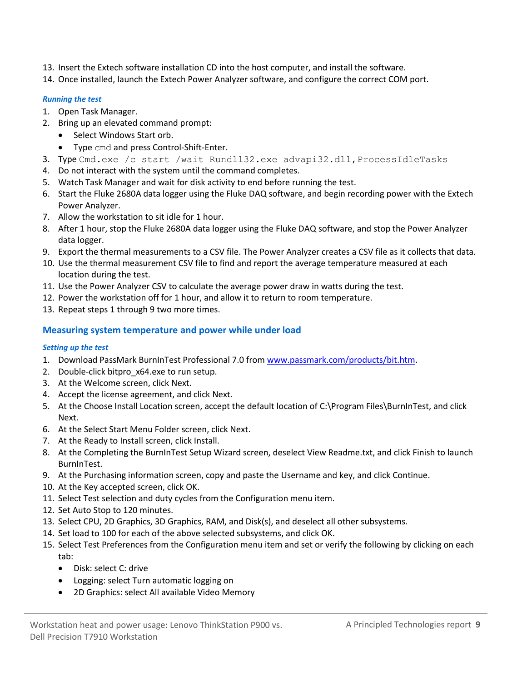- 13. Insert the Extech software installation CD into the host computer, and install the software.
- 14. Once installed, launch the Extech Power Analyzer software, and configure the correct COM port.

#### *Running the test*

- 1. Open Task Manager.
- 2. Bring up an elevated command prompt:
	- Select Windows Start orb.
	- Type cmd and press Control-Shift-Enter.
- 3. Type Cmd.exe /c start /wait Rundll32.exe advapi32.dll, ProcessIdleTasks
- 4. Do not interact with the system until the command completes.
- 5. Watch Task Manager and wait for disk activity to end before running the test.
- 6. Start the Fluke 2680A data logger using the Fluke DAQ software, and begin recording power with the Extech Power Analyzer.
- 7. Allow the workstation to sit idle for 1 hour.
- 8. After 1 hour, stop the Fluke 2680A data logger using the Fluke DAQ software, and stop the Power Analyzer data logger.
- 9. Export the thermal measurements to a CSV file. The Power Analyzer creates a CSV file as it collects that data.
- 10. Use the thermal measurement CSV file to find and report the average temperature measured at each location during the test.
- 11. Use the Power Analyzer CSV to calculate the average power draw in watts during the test.
- 12. Power the workstation off for 1 hour, and allow it to return to room temperature.
- 13. Repeat steps 1 through 9 two more times.

#### **Measuring system temperature and power while under load**

#### *Setting up the test*

- 1. Download PassMark BurnInTest Professional 7.0 from [www.passmark.com/products/bit.htm.](http://www.passmark.com/products/bit.htm)
- 2. Double-click bitpro x64.exe to run setup.
- 3. At the Welcome screen, click Next.
- 4. Accept the license agreement, and click Next.
- 5. At the Choose Install Location screen, accept the default location of C:\Program Files\BurnInTest, and click Next.
- 6. At the Select Start Menu Folder screen, click Next.
- 7. At the Ready to Install screen, click Install.
- 8. At the Completing the BurnInTest Setup Wizard screen, deselect View Readme.txt, and click Finish to launch BurnInTest.
- 9. At the Purchasing information screen, copy and paste the Username and key, and click Continue.
- 10. At the Key accepted screen, click OK.
- 11. Select Test selection and duty cycles from the Configuration menu item.
- 12. Set Auto Stop to 120 minutes.
- 13. Select CPU, 2D Graphics, 3D Graphics, RAM, and Disk(s), and deselect all other subsystems.
- 14. Set load to 100 for each of the above selected subsystems, and click OK.
- 15. Select Test Preferences from the Configuration menu item and set or verify the following by clicking on each tab:
	- Disk: select C: drive
	- Logging: select Turn automatic logging on
	- 2D Graphics: select All available Video Memory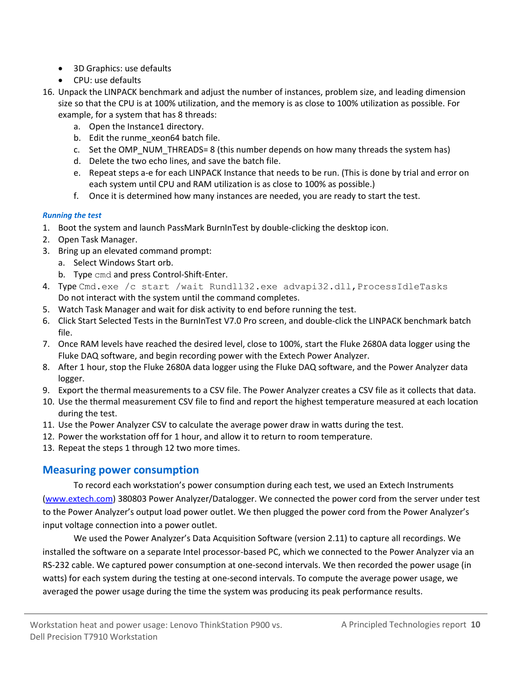- 3D Graphics: use defaults
- CPU: use defaults
- 16. Unpack the LINPACK benchmark and adjust the number of instances, problem size, and leading dimension size so that the CPU is at 100% utilization, and the memory is as close to 100% utilization as possible. For example, for a system that has 8 threads:
	- a. Open the Instance1 directory.
	- b. Edit the runme xeon64 batch file.
	- c. Set the OMP\_NUM\_THREADS= 8 (this number depends on how many threads the system has)
	- d. Delete the two echo lines, and save the batch file.
	- e. Repeat steps a-e for each LINPACK Instance that needs to be run. (This is done by trial and error on each system until CPU and RAM utilization is as close to 100% as possible.)
	- f. Once it is determined how many instances are needed, you are ready to start the test.

#### *Running the test*

- 1. Boot the system and launch PassMark BurnInTest by double-clicking the desktop icon.
- 2. Open Task Manager.
- 3. Bring up an elevated command prompt:
	- a. Select Windows Start orb.
	- b. Type cmd and press Control-Shift-Enter.
- 4. Type Cmd.exe /c start /wait Rundll32.exe advapi32.dll, ProcessIdleTasks Do not interact with the system until the command completes.
- 5. Watch Task Manager and wait for disk activity to end before running the test.
- 6. Click Start Selected Tests in the BurnInTest V7.0 Pro screen, and double-click the LINPACK benchmark batch file.
- 7. Once RAM levels have reached the desired level, close to 100%, start the Fluke 2680A data logger using the Fluke DAQ software, and begin recording power with the Extech Power Analyzer.
- 8. After 1 hour, stop the Fluke 2680A data logger using the Fluke DAQ software, and the Power Analyzer data logger.
- 9. Export the thermal measurements to a CSV file. The Power Analyzer creates a CSV file as it collects that data.
- 10. Use the thermal measurement CSV file to find and report the highest temperature measured at each location during the test.
- 11. Use the Power Analyzer CSV to calculate the average power draw in watts during the test.
- 12. Power the workstation off for 1 hour, and allow it to return to room temperature.
- 13. Repeat the steps 1 through 12 two more times.

#### **Measuring power consumption**

To record each workstation's power consumption during each test, we used an Extech Instruments [\(www.extech.com\)](http://www.extech.com/) 380803 Power Analyzer/Datalogger. We connected the power cord from the server under test to the Power Analyzer's output load power outlet. We then plugged the power cord from the Power Analyzer's input voltage connection into a power outlet.

We used the Power Analyzer's Data Acquisition Software (version 2.11) to capture all recordings. We installed the software on a separate Intel processor-based PC, which we connected to the Power Analyzer via an RS-232 cable. We captured power consumption at one-second intervals. We then recorded the power usage (in watts) for each system during the testing at one-second intervals. To compute the average power usage, we averaged the power usage during the time the system was producing its peak performance results.